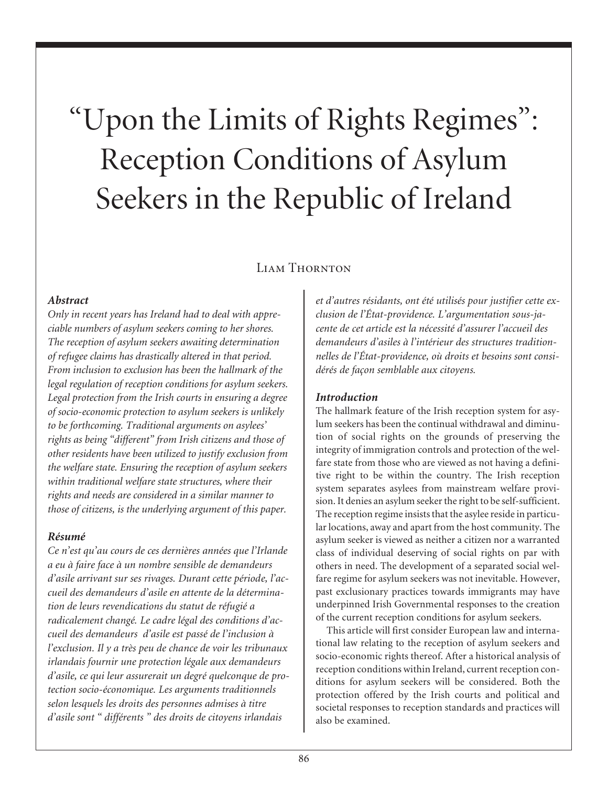# "Upon the Limits of Rights Regimes": Reception Conditions of Asylum Seekers in the Republic of Ireland

# LIAM THORNTON

### *Abstract*

*Only in recent years has Ireland had to deal with appreciable numbers of asylum seekers coming to her shores. The reception of asylum seekers awaiting determination of refugee claims has drastically altered in that period. From inclusion to exclusion has been the hallmark of the legal regulation of reception conditions for asylum seekers. Legal protection from the Irish courts in ensuring a degree of socio-economic protection to asylum seekers is unlikely to be forthcoming. Traditional arguments on asylees' rights as being "different" from Irish citizens and those of other residents have been utilized to justify exclusion from the welfare state. Ensuring the reception of asylum seekers within traditional welfare state structures, where their rights and needs are considered in a similar manner to those of citizens, is the underlying argument of this paper.*

#### *Résumé*

*Ce n'est qu'au cours de ces dernières années que l'Irlande a eu à faire face à un nombre sensible de demandeurs d'asile arrivant sur ses rivages. Durant cette période, l'accueil des demandeurs d'asile en attente de la détermination de leurs revendications du statut de réfugié a radicalement changé. Le cadre légal des conditions d'accueil des demandeurs d'asile est passé de l'inclusion à l'exclusion. Il y a très peu de chance de voir les tribunaux irlandais fournir une protection légale aux demandeurs d'asile, ce qui leur assurerait un degré quelconque de protection socio-économique. Les arguments traditionnels selon lesquels les droits des personnes admises à titre d'asile sont " différents " des droits de citoyens irlandais*

*et d'autres résidants, ont été utilisés pour justifier cette exclusion de l'État-providence. L'argumentation sous-jacente de cet article est la nécessité d'assurer l'accueil des demandeurs d'asiles à l'intérieur des structures traditionnelles de l'État-providence, où droits et besoins sont considérés de façon semblable aux citoyens.*

## *Introduction*

The hallmark feature of the Irish reception system for asylum seekers has been the continual withdrawal and diminution of social rights on the grounds of preserving the integrity of immigration controls and protection of the welfare state from those who are viewed as not having a definitive right to be within the country. The Irish reception system separates asylees from mainstream welfare provision. It denies an asylum seeker the right to be self-sufficient. The reception regime insists that the asylee reside in particular locations, away and apart from the host community. The asylum seeker is viewed as neither a citizen nor a warranted class of individual deserving of social rights on par with others in need. The development of a separated social welfare regime for asylum seekers was not inevitable. However, past exclusionary practices towards immigrants may have underpinned Irish Governmental responses to the creation of the current reception conditions for asylum seekers.

This article will first consider European law and international law relating to the reception of asylum seekers and socio-economic rights thereof. After a historical analysis of reception conditions within Ireland, current reception conditions for asylum seekers will be considered. Both the protection offered by the Irish courts and political and societal responses to reception standards and practices will also be examined.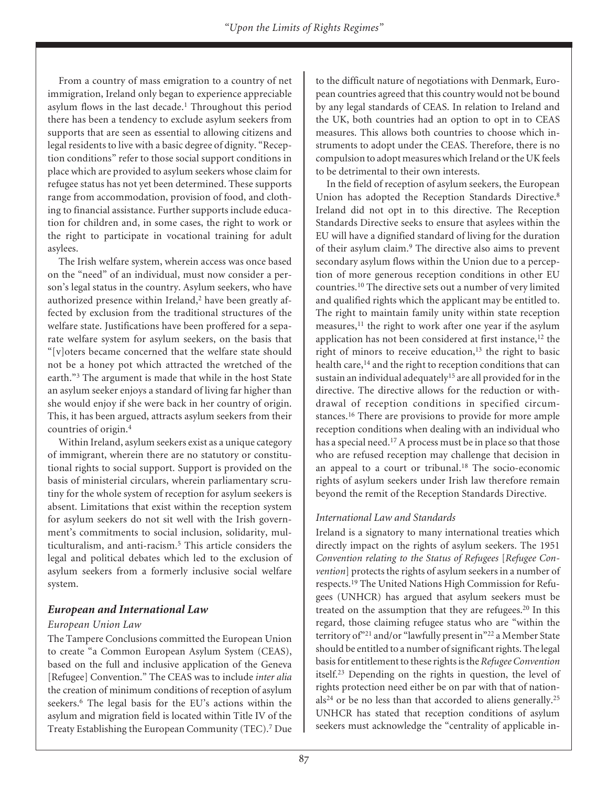From a country of mass emigration to a country of net immigration, Ireland only began to experience appreciable asylum flows in the last decade.<sup>1</sup> Throughout this period there has been a tendency to exclude asylum seekers from supports that are seen as essential to allowing citizens and legal residents to live with a basic degree of dignity. "Reception conditions" refer to those social support conditions in place which are provided to asylum seekers whose claim for refugee status has not yet been determined. These supports range from accommodation, provision of food, and clothing to financial assistance. Further supports include education for children and, in some cases, the right to work or the right to participate in vocational training for adult asylees.

The Irish welfare system, wherein access was once based on the "need" of an individual, must now consider a person's legal status in the country. Asylum seekers, who have authorized presence within Ireland,<sup>2</sup> have been greatly affected by exclusion from the traditional structures of the welfare state. Justifications have been proffered for a separate welfare system for asylum seekers, on the basis that "[v]oters became concerned that the welfare state should not be a honey pot which attracted the wretched of the earth."3 The argument is made that while in the host State an asylum seeker enjoys a standard of living far higher than she would enjoy if she were back in her country of origin. This, it has been argued, attracts asylum seekers from their countries of origin.4

Within Ireland, asylum seekers exist as a unique category of immigrant, wherein there are no statutory or constitutional rights to social support. Support is provided on the basis of ministerial circulars, wherein parliamentary scrutiny for the whole system of reception for asylum seekers is absent. Limitations that exist within the reception system for asylum seekers do not sit well with the Irish government's commitments to social inclusion, solidarity, multiculturalism, and anti-racism.5 This article considers the legal and political debates which led to the exclusion of asylum seekers from a formerly inclusive social welfare system.

## *European and International Law*

#### *European Union Law*

The Tampere Conclusions committed the European Union to create "a Common European Asylum System (CEAS), based on the full and inclusive application of the Geneva [Refugee] Convention." The CEAS was to include *inter alia* the creation of minimum conditions of reception of asylum seekers.<sup>6</sup> The legal basis for the EU's actions within the asylum and migration field is located within Title IV of the Treaty Establishing the European Community (TEC).7 Due to the difficult nature of negotiations with Denmark, European countries agreed that this country would not be bound by any legal standards of CEAS. In relation to Ireland and the UK, both countries had an option to opt in to CEAS measures. This allows both countries to choose which instruments to adopt under the CEAS. Therefore, there is no compulsion to adopt measures which Ireland or the UK feels to be detrimental to their own interests.

In the field of reception of asylum seekers, the European Union has adopted the Reception Standards Directive.8 Ireland did not opt in to this directive. The Reception Standards Directive seeks to ensure that asylees within the EU will have a dignified standard of living for the duration of their asylum claim.9 The directive also aims to prevent secondary asylum flows within the Union due to a perception of more generous reception conditions in other EU countries.10 The directive sets out a number of very limited and qualified rights which the applicant may be entitled to. The right to maintain family unity within state reception measures,<sup>11</sup> the right to work after one year if the asylum application has not been considered at first instance,<sup>12</sup> the right of minors to receive education, $13$  the right to basic health care,<sup>14</sup> and the right to reception conditions that can sustain an individual adequately<sup>15</sup> are all provided for in the directive. The directive allows for the reduction or withdrawal of reception conditions in specified circumstances.16 There are provisions to provide for more ample reception conditions when dealing with an individual who has a special need.<sup>17</sup> A process must be in place so that those who are refused reception may challenge that decision in an appeal to a court or tribunal.<sup>18</sup> The socio-economic rights of asylum seekers under Irish law therefore remain beyond the remit of the Reception Standards Directive.

#### *International Law and Standards*

Ireland is a signatory to many international treaties which directly impact on the rights of asylum seekers. The 1951 *Convention relating to the Status of Refugees* [*Refugee Convention*] protects the rights of asylum seekers in a number of respects.19 The United Nations High Commission for Refugees (UNHCR) has argued that asylum seekers must be treated on the assumption that they are refugees.<sup>20</sup> In this regard, those claiming refugee status who are "within the territory of"<sup>21</sup> and/or "lawfully present in"<sup>22</sup> a Member State should be entitled to a number of significant rights. The legal basis for entitlement to these rights is the *Refugee Convention* itself.23 Depending on the rights in question, the level of rights protection need either be on par with that of nation $als<sup>24</sup>$  or be no less than that accorded to aliens generally.<sup>25</sup> UNHCR has stated that reception conditions of asylum seekers must acknowledge the "centrality of applicable in-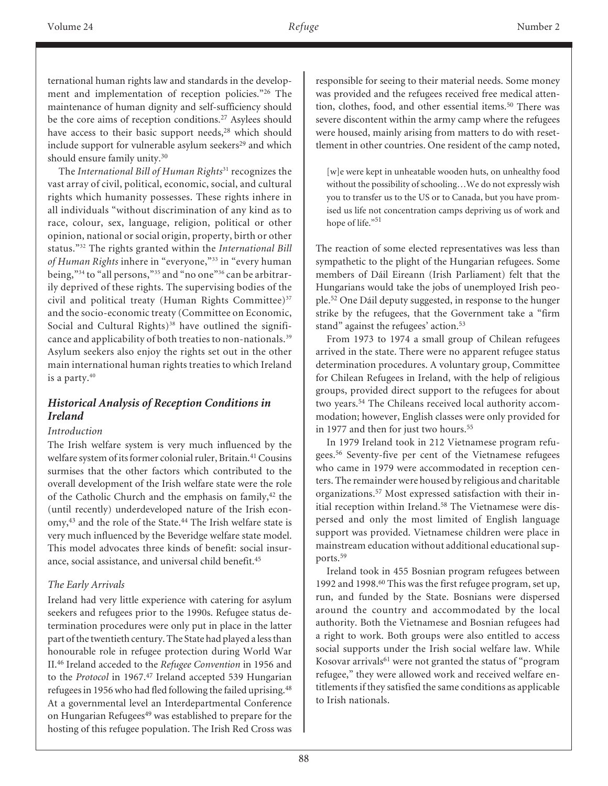ternational human rights law and standards in the development and implementation of reception policies."26 The maintenance of human dignity and self-sufficiency should be the core aims of reception conditions.<sup>27</sup> Asylees should have access to their basic support needs,<sup>28</sup> which should include support for vulnerable asylum seekers<sup>29</sup> and which should ensure family unity.30

The *International Bill of Human Rights*<sup>31</sup> recognizes the vast array of civil, political, economic, social, and cultural rights which humanity possesses. These rights inhere in all individuals "without discrimination of any kind as to race, colour, sex, language, religion, political or other opinion, national or social origin, property, birth or other status."32 The rights granted within the *International Bill of Human Rights* inhere in "everyone,"33 in "every human being,"<sup>34</sup> to "all persons,"<sup>35</sup> and "no one"<sup>36</sup> can be arbitrarily deprived of these rights. The supervising bodies of the civil and political treaty (Human Rights Committee)<sup>37</sup> and the socio-economic treaty (Committee on Economic, Social and Cultural Rights) $38$  have outlined the significance and applicability of both treaties to non-nationals.<sup>39</sup> Asylum seekers also enjoy the rights set out in the other main international human rights treaties to which Ireland is a party.<sup>40</sup>

### *Historical Analysis of Reception Conditions in Ireland*

#### *Introduction*

The Irish welfare system is very much influenced by the welfare system of its former colonial ruler, Britain.<sup>41</sup> Cousins surmises that the other factors which contributed to the overall development of the Irish welfare state were the role of the Catholic Church and the emphasis on family,<sup>42</sup> the (until recently) underdeveloped nature of the Irish economy,<sup>43</sup> and the role of the State.<sup>44</sup> The Irish welfare state is very much influenced by the Beveridge welfare state model. This model advocates three kinds of benefit: social insurance, social assistance, and universal child benefit.45

## *The Early Arrivals*

Ireland had very little experience with catering for asylum seekers and refugees prior to the 1990s. Refugee status determination procedures were only put in place in the latter part of the twentieth century. The State had played a less than honourable role in refugee protection during World War II.46 Ireland acceded to the *Refugee Convention* in 1956 and to the *Protocol* in 1967.<sup>47</sup> Ireland accepted 539 Hungarian refugees in 1956 who had fled following the failed uprising.<sup>48</sup> At a governmental level an Interdepartmental Conference on Hungarian Refugees<sup>49</sup> was established to prepare for the hosting of this refugee population. The Irish Red Cross was responsible for seeing to their material needs. Some money was provided and the refugees received free medical attention, clothes, food, and other essential items.<sup>50</sup> There was severe discontent within the army camp where the refugees were housed, mainly arising from matters to do with resettlement in other countries. One resident of the camp noted,

[w]e were kept in unheatable wooden huts, on unhealthy food without the possibility of schooling…We do not expressly wish you to transfer us to the US or to Canada, but you have promised us life not concentration camps depriving us of work and hope of life."<sup>51</sup>

The reaction of some elected representatives was less than sympathetic to the plight of the Hungarian refugees. Some members of Dáil Eireann (Irish Parliament) felt that the Hungarians would take the jobs of unemployed Irish people.52 One Dáil deputy suggested, in response to the hunger strike by the refugees, that the Government take a "firm stand" against the refugees' action.<sup>53</sup>

From 1973 to 1974 a small group of Chilean refugees arrived in the state. There were no apparent refugee status determination procedures. A voluntary group, Committee for Chilean Refugees in Ireland, with the help of religious groups, provided direct support to the refugees for about two years.54 The Chileans received local authority accommodation; however, English classes were only provided for in 1977 and then for just two hours.<sup>55</sup>

In 1979 Ireland took in 212 Vietnamese program refugees.56 Seventy-five per cent of the Vietnamese refugees who came in 1979 were accommodated in reception centers. The remainder were housed by religious and charitable organizations.57 Most expressed satisfaction with their initial reception within Ireland.<sup>58</sup> The Vietnamese were dispersed and only the most limited of English language support was provided. Vietnamese children were place in mainstream education without additional educational supports.59

Ireland took in 455 Bosnian program refugees between 1992 and 1998.60 This was the first refugee program, set up, run, and funded by the State. Bosnians were dispersed around the country and accommodated by the local authority. Both the Vietnamese and Bosnian refugees had a right to work. Both groups were also entitled to access social supports under the Irish social welfare law. While Kosovar arrivals<sup>61</sup> were not granted the status of "program" refugee," they were allowed work and received welfare entitlements if they satisfied the same conditions as applicable to Irish nationals.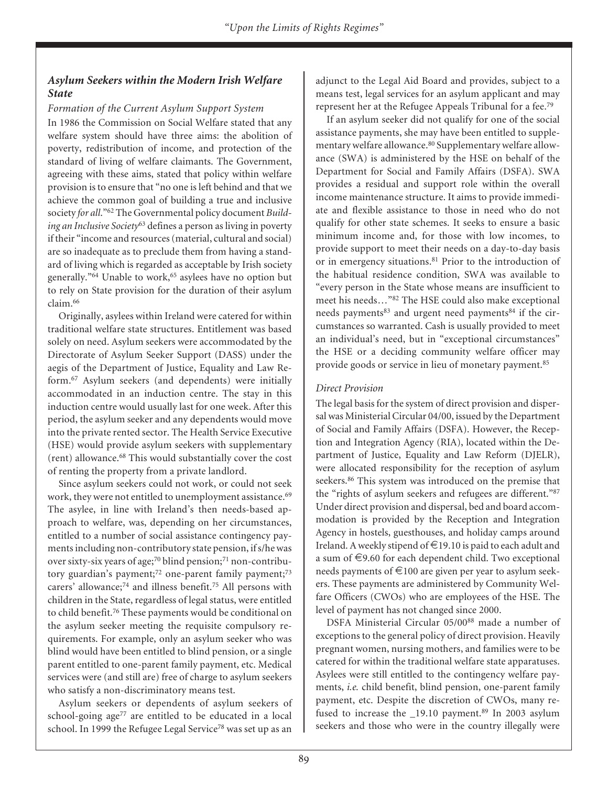# *Asylum Seekers within the Modern Irish Welfare State*

### *Formation of the Current Asylum Support System*

In 1986 the Commission on Social Welfare stated that any welfare system should have three aims: the abolition of poverty, redistribution of income, and protection of the standard of living of welfare claimants. The Government, agreeing with these aims, stated that policy within welfare provision is to ensure that "no one is left behind and that we achieve the common goal of building a true and inclusive society *for all*."62 The Governmental policy document *Building an Inclusive Society*<sup>63</sup> defines a person as living in poverty if their "income and resources (material, cultural and social) are so inadequate as to preclude them from having a standard of living which is regarded as acceptable by Irish society generally."<sup>64</sup> Unable to work,<sup>65</sup> asylees have no option but to rely on State provision for the duration of their asylum claim.66

Originally, asylees within Ireland were catered for within traditional welfare state structures. Entitlement was based solely on need. Asylum seekers were accommodated by the Directorate of Asylum Seeker Support (DASS) under the aegis of the Department of Justice, Equality and Law Reform.67 Asylum seekers (and dependents) were initially accommodated in an induction centre. The stay in this induction centre would usually last for one week. After this period, the asylum seeker and any dependents would move into the private rented sector. The Health Service Executive (HSE) would provide asylum seekers with supplementary (rent) allowance.68 This would substantially cover the cost of renting the property from a private landlord.

Since asylum seekers could not work, or could not seek work, they were not entitled to unemployment assistance.<sup>69</sup> The asylee, in line with Ireland's then needs-based approach to welfare, was, depending on her circumstances, entitled to a number of social assistance contingency payments including non-contributory state pension, if s/he was over sixty-six years of age;<sup>70</sup> blind pension;<sup>71</sup> non-contributory guardian's payment; $72$  one-parent family payment; $73$ carers' allowance;74 and illness benefit.75 All persons with children in the State, regardless of legal status, were entitled to child benefit.76 These payments would be conditional on the asylum seeker meeting the requisite compulsory requirements. For example, only an asylum seeker who was blind would have been entitled to blind pension, or a single parent entitled to one-parent family payment, etc. Medical services were (and still are) free of charge to asylum seekers who satisfy a non-discriminatory means test.

Asylum seekers or dependents of asylum seekers of school-going age<sup>77</sup> are entitled to be educated in a local school. In 1999 the Refugee Legal Service<sup>78</sup> was set up as an

adjunct to the Legal Aid Board and provides, subject to a means test, legal services for an asylum applicant and may represent her at the Refugee Appeals Tribunal for a fee.79

If an asylum seeker did not qualify for one of the social assistance payments, she may have been entitled to supplementary welfare allowance.<sup>80</sup> Supplementary welfare allowance (SWA) is administered by the HSE on behalf of the Department for Social and Family Affairs (DSFA). SWA provides a residual and support role within the overall income maintenance structure. It aims to provide immediate and flexible assistance to those in need who do not qualify for other state schemes. It seeks to ensure a basic minimum income and, for those with low incomes, to provide support to meet their needs on a day-to-day basis or in emergency situations.<sup>81</sup> Prior to the introduction of the habitual residence condition, SWA was available to "every person in the State whose means are insufficient to meet his needs…"82 The HSE could also make exceptional needs payments<sup>83</sup> and urgent need payments<sup>84</sup> if the circumstances so warranted. Cash is usually provided to meet an individual's need, but in "exceptional circumstances" the HSE or a deciding community welfare officer may provide goods or service in lieu of monetary payment.85

## *Direct Provision*

The legal basis for the system of direct provision and dispersal was Ministerial Circular 04/00, issued by the Department of Social and Family Affairs (DSFA). However, the Reception and Integration Agency (RIA), located within the Department of Justice, Equality and Law Reform (DJELR), were allocated responsibility for the reception of asylum seekers.<sup>86</sup> This system was introduced on the premise that the "rights of asylum seekers and refugees are different."87 Under direct provision and dispersal, bed and board accommodation is provided by the Reception and Integration Agency in hostels, guesthouses, and holiday camps around Ireland. A weekly stipend of  $\in$ 19.10 is paid to each adult and a sum of  $\epsilon$ 9.60 for each dependent child. Two exceptional needs payments of  $\epsilon$ 100 are given per year to asylum seekers. These payments are administered by Community Welfare Officers (CWOs) who are employees of the HSE. The level of payment has not changed since 2000.

DSFA Ministerial Circular 05/0088 made a number of exceptions to the general policy of direct provision. Heavily pregnant women, nursing mothers, and families were to be catered for within the traditional welfare state apparatuses. Asylees were still entitled to the contingency welfare payments, *i.e.* child benefit, blind pension, one-parent family payment, etc. Despite the discretion of CWOs, many refused to increase the  $\_19.10$  payment.<sup>89</sup> In 2003 asylum seekers and those who were in the country illegally were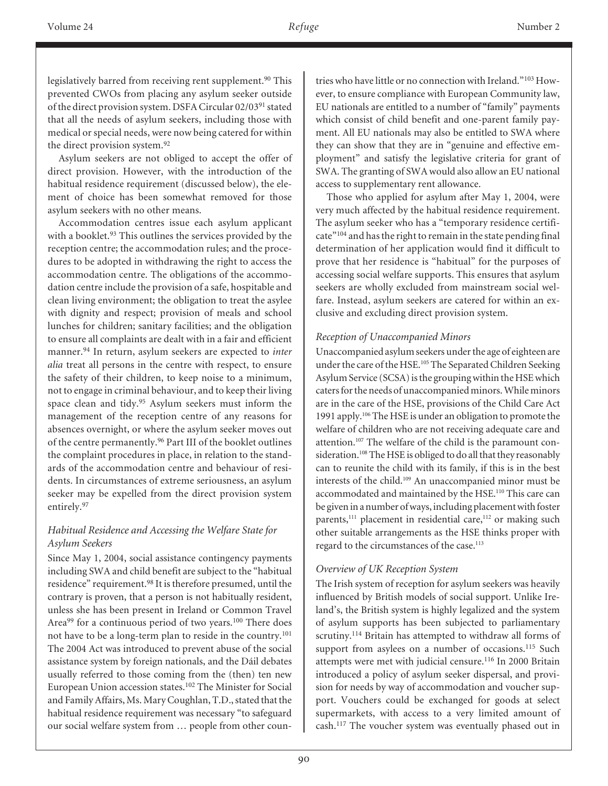legislatively barred from receiving rent supplement.<sup>90</sup> This prevented CWOs from placing any asylum seeker outside of the direct provision system. DSFA Circular 02/0391 stated that all the needs of asylum seekers, including those with medical or special needs, were now being catered for within the direct provision system.<sup>92</sup>

Asylum seekers are not obliged to accept the offer of direct provision. However, with the introduction of the habitual residence requirement (discussed below), the element of choice has been somewhat removed for those asylum seekers with no other means.

Accommodation centres issue each asylum applicant with a booklet.<sup>93</sup> This outlines the services provided by the reception centre; the accommodation rules; and the procedures to be adopted in withdrawing the right to access the accommodation centre. The obligations of the accommodation centre include the provision of a safe, hospitable and clean living environment; the obligation to treat the asylee with dignity and respect; provision of meals and school lunches for children; sanitary facilities; and the obligation to ensure all complaints are dealt with in a fair and efficient manner.94 In return, asylum seekers are expected to *inter alia* treat all persons in the centre with respect, to ensure the safety of their children, to keep noise to a minimum, not to engage in criminal behaviour, and to keep their living space clean and tidy.95 Asylum seekers must inform the management of the reception centre of any reasons for absences overnight, or where the asylum seeker moves out of the centre permanently.96 Part III of the booklet outlines the complaint procedures in place, in relation to the standards of the accommodation centre and behaviour of residents. In circumstances of extreme seriousness, an asylum seeker may be expelled from the direct provision system entirely.97

## *Habitual Residence and Accessing the Welfare State for Asylum Seekers*

Since May 1, 2004, social assistance contingency payments including SWA and child benefit are subject to the "habitual residence" requirement.98 It is therefore presumed, until the contrary is proven, that a person is not habitually resident, unless she has been present in Ireland or Common Travel Area<sup>99</sup> for a continuous period of two years.<sup>100</sup> There does not have to be a long-term plan to reside in the country.101 The 2004 Act was introduced to prevent abuse of the social assistance system by foreign nationals, and the Dáil debates usually referred to those coming from the (then) ten new European Union accession states.102 The Minister for Social and Family Affairs, Ms. Mary Coughlan, T.D., stated that the habitual residence requirement was necessary "to safeguard our social welfare system from … people from other countries who have little or no connection with Ireland."103 However, to ensure compliance with European Community law, EU nationals are entitled to a number of "family" payments which consist of child benefit and one-parent family payment. All EU nationals may also be entitled to SWA where they can show that they are in "genuine and effective employment" and satisfy the legislative criteria for grant of SWA. The granting of SWA would also allow an EU national access to supplementary rent allowance.

Those who applied for asylum after May 1, 2004, were very much affected by the habitual residence requirement. The asylum seeker who has a "temporary residence certificate"104 and has the right to remain in the state pending final determination of her application would find it difficult to prove that her residence is "habitual" for the purposes of accessing social welfare supports. This ensures that asylum seekers are wholly excluded from mainstream social welfare. Instead, asylum seekers are catered for within an exclusive and excluding direct provision system.

### *Reception of Unaccompanied Minors*

Unaccompanied asylum seekers under the age of eighteen are under the care of the HSE.<sup>105</sup> The Separated Children Seeking Asylum Service (SCSA) is the grouping within the HSE which caters for the needs of unaccompanied minors. While minors are in the care of the HSE, provisions of the Child Care Act 1991 apply.106 The HSE is under an obligation to promote the welfare of children who are not receiving adequate care and attention.<sup>107</sup> The welfare of the child is the paramount consideration.<sup>108</sup> The HSE is obliged to do all that they reasonably can to reunite the child with its family, if this is in the best interests of the child.109 An unaccompanied minor must be accommodated and maintained by the HSE.110 This care can be given in a number of ways, including placement with foster parents,<sup>111</sup> placement in residential care,<sup>112</sup> or making such other suitable arrangements as the HSE thinks proper with regard to the circumstances of the case.<sup>113</sup>

## *Overview of UK Reception System*

The Irish system of reception for asylum seekers was heavily influenced by British models of social support. Unlike Ireland's, the British system is highly legalized and the system of asylum supports has been subjected to parliamentary scrutiny.<sup>114</sup> Britain has attempted to withdraw all forms of support from asylees on a number of occasions.<sup>115</sup> Such attempts were met with judicial censure.<sup>116</sup> In 2000 Britain introduced a policy of asylum seeker dispersal, and provision for needs by way of accommodation and voucher support. Vouchers could be exchanged for goods at select supermarkets, with access to a very limited amount of cash.117 The voucher system was eventually phased out in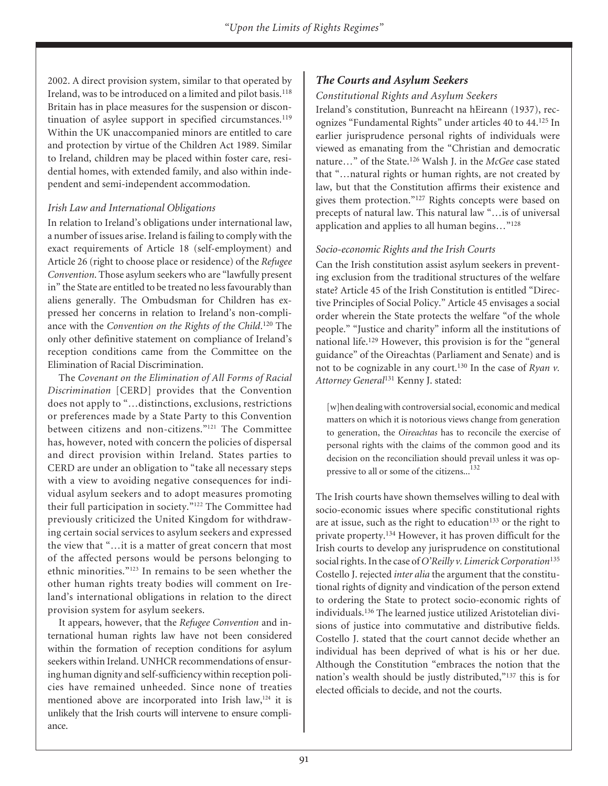2002. A direct provision system, similar to that operated by Ireland, was to be introduced on a limited and pilot basis.<sup>118</sup> Britain has in place measures for the suspension or discontinuation of asylee support in specified circumstances.<sup>119</sup> Within the UK unaccompanied minors are entitled to care and protection by virtue of the Children Act 1989. Similar to Ireland, children may be placed within foster care, residential homes, with extended family, and also within independent and semi-independent accommodation.

#### *Irish Law and International Obligations*

In relation to Ireland's obligations under international law, a number of issues arise. Ireland is failing to comply with the exact requirements of Article 18 (self-employment) and Article 26 (right to choose place or residence) of the *Refugee Convention*. Those asylum seekers who are "lawfully present in" the State are entitled to be treated no less favourably than aliens generally. The Ombudsman for Children has expressed her concerns in relation to Ireland's non-compliance with the *Convention on the Rights of the Child*. <sup>120</sup> The only other definitive statement on compliance of Ireland's reception conditions came from the Committee on the Elimination of Racial Discrimination.

The *Covenant on the Elimination of All Forms of Racial Discrimination* [CERD] provides that the Convention does not apply to "…distinctions, exclusions, restrictions or preferences made by a State Party to this Convention between citizens and non-citizens."121 The Committee has, however, noted with concern the policies of dispersal and direct provision within Ireland. States parties to CERD are under an obligation to "take all necessary steps with a view to avoiding negative consequences for individual asylum seekers and to adopt measures promoting their full participation in society."122 The Committee had previously criticized the United Kingdom for withdrawing certain social services to asylum seekers and expressed the view that "…it is a matter of great concern that most of the affected persons would be persons belonging to ethnic minorities."123 In remains to be seen whether the other human rights treaty bodies will comment on Ireland's international obligations in relation to the direct provision system for asylum seekers.

It appears, however, that the *Refugee Convention* and international human rights law have not been considered within the formation of reception conditions for asylum seekers within Ireland. UNHCR recommendations of ensuring human dignity and self-sufficiency within reception policies have remained unheeded. Since none of treaties mentioned above are incorporated into Irish law,<sup>124</sup> it is unlikely that the Irish courts will intervene to ensure compliance.

## *The Courts and Asylum Seekers*

#### *Constitutional Rights and Asylum Seekers*

Ireland's constitution, Bunreacht na hEireann (1937), recognizes "Fundamental Rights" under articles 40 to 44.125 In earlier jurisprudence personal rights of individuals were viewed as emanating from the "Christian and democratic nature…" of the State.126 Walsh J. in the *McGee* case stated that "…natural rights or human rights, are not created by law, but that the Constitution affirms their existence and gives them protection."127 Rights concepts were based on precepts of natural law. This natural law "…is of universal application and applies to all human begins…"128

#### *Socio-economic Rights and the Irish Courts*

Can the Irish constitution assist asylum seekers in preventing exclusion from the traditional structures of the welfare state? Article 45 of the Irish Constitution is entitled "Directive Principles of Social Policy." Article 45 envisages a social order wherein the State protects the welfare "of the whole people." "Justice and charity" inform all the institutions of national life.129 However, this provision is for the "general guidance" of the Oireachtas (Parliament and Senate) and is not to be cognizable in any court.130 In the case of *Ryan v. Attorney General*<sup>131</sup> Kenny J. stated:

[w]hen dealing with controversial social, economic and medical matters on which it is notorious views change from generation to generation, the *Oireachtas* has to reconcile the exercise of personal rights with the claims of the common good and its decision on the reconciliation should prevail unless it was oppressive to all or some of the citizens...<sup>132</sup>

The Irish courts have shown themselves willing to deal with socio-economic issues where specific constitutional rights are at issue, such as the right to education<sup>133</sup> or the right to private property.<sup>134</sup> However, it has proven difficult for the Irish courts to develop any jurisprudence on constitutional social rights. In the case of *O'Reilly v. Limerick Corporation*<sup>135</sup> Costello J. rejected *inter alia* the argument that the constitutional rights of dignity and vindication of the person extend to ordering the State to protect socio-economic rights of individuals.136 The learned justice utilized Aristotelian divisions of justice into commutative and distributive fields. Costello J. stated that the court cannot decide whether an individual has been deprived of what is his or her due. Although the Constitution "embraces the notion that the nation's wealth should be justly distributed,"137 this is for elected officials to decide, and not the courts.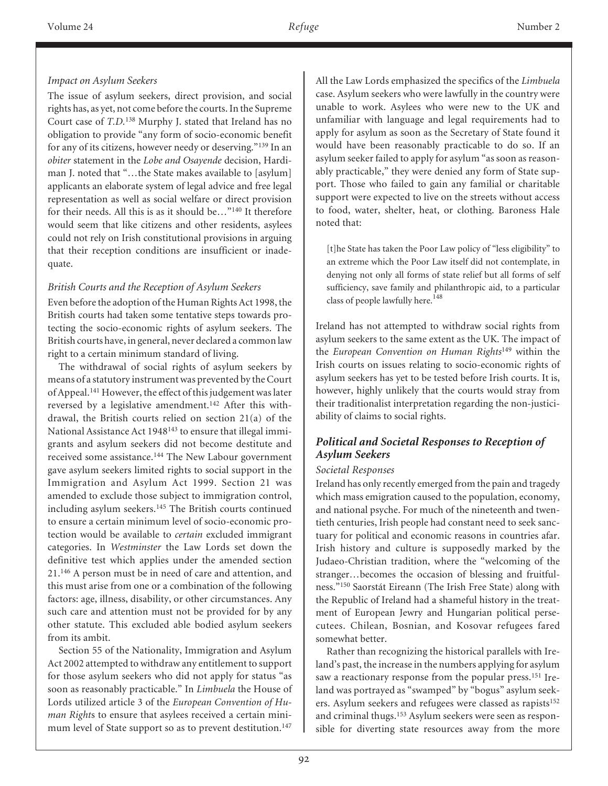### *Impact on Asylum Seekers*

The issue of asylum seekers, direct provision, and social rights has, as yet, not come before the courts. In the Supreme Court case of *T.D.*<sup>138</sup> Murphy J. stated that Ireland has no obligation to provide "any form of socio-economic benefit for any of its citizens, however needy or deserving."139 In an *obiter* statement in the *Lobe and Osayende* decision, Hardiman J. noted that "…the State makes available to [asylum] applicants an elaborate system of legal advice and free legal representation as well as social welfare or direct provision for their needs. All this is as it should be…"140 It therefore would seem that like citizens and other residents, asylees could not rely on Irish constitutional provisions in arguing that their reception conditions are insufficient or inadequate.

### *British Courts and the Reception of Asylum Seekers*

Even before the adoption of the Human Rights Act 1998, the British courts had taken some tentative steps towards protecting the socio-economic rights of asylum seekers. The British courts have, in general, never declared a common law right to a certain minimum standard of living.

The withdrawal of social rights of asylum seekers by means of a statutory instrument was prevented by the Court of Appeal.141 However, the effect of this judgement was later reversed by a legislative amendment.142 After this withdrawal, the British courts relied on section 21(a) of the National Assistance Act 1948<sup>143</sup> to ensure that illegal immigrants and asylum seekers did not become destitute and received some assistance.144 The New Labour government gave asylum seekers limited rights to social support in the Immigration and Asylum Act 1999. Section 21 was amended to exclude those subject to immigration control, including asylum seekers.<sup>145</sup> The British courts continued to ensure a certain minimum level of socio-economic protection would be available to *certain* excluded immigrant categories. In *Westminster* the Law Lords set down the definitive test which applies under the amended section 21.146 A person must be in need of care and attention, and this must arise from one or a combination of the following factors: age, illness, disability, or other circumstances. Any such care and attention must not be provided for by any other statute. This excluded able bodied asylum seekers from its ambit.

Section 55 of the Nationality, Immigration and Asylum Act 2002 attempted to withdraw any entitlement to support for those asylum seekers who did not apply for status "as soon as reasonably practicable." In *Limbuela* the House of Lords utilized article 3 of the *European Convention of Human Right*s to ensure that asylees received a certain minimum level of State support so as to prevent destitution.<sup>147</sup>

All the Law Lords emphasized the specifics of the *Limbuela* case. Asylum seekers who were lawfully in the country were unable to work. Asylees who were new to the UK and unfamiliar with language and legal requirements had to apply for asylum as soon as the Secretary of State found it would have been reasonably practicable to do so. If an asylum seeker failed to apply for asylum "as soon as reasonably practicable," they were denied any form of State support. Those who failed to gain any familial or charitable support were expected to live on the streets without access to food, water, shelter, heat, or clothing. Baroness Hale noted that:

[t]he State has taken the Poor Law policy of "less eligibility" to an extreme which the Poor Law itself did not contemplate, in denying not only all forms of state relief but all forms of self sufficiency, save family and philanthropic aid, to a particular class of people lawfully here.<sup>148</sup>

Ireland has not attempted to withdraw social rights from asylum seekers to the same extent as the UK. The impact of the *European Convention on Human Rights*<sup>149</sup> within the Irish courts on issues relating to socio-economic rights of asylum seekers has yet to be tested before Irish courts. It is, however, highly unlikely that the courts would stray from their traditionalist interpretation regarding the non-justiciability of claims to social rights.

## *Political and Societal Responses to Reception of Asylum Seekers*

#### *Societal Responses*

Ireland has only recently emerged from the pain and tragedy which mass emigration caused to the population, economy, and national psyche. For much of the nineteenth and twentieth centuries, Irish people had constant need to seek sanctuary for political and economic reasons in countries afar. Irish history and culture is supposedly marked by the Judaeo-Christian tradition, where the "welcoming of the stranger…becomes the occasion of blessing and fruitfulness."150 Saorstát Eireann (The Irish Free State) along with the Republic of Ireland had a shameful history in the treatment of European Jewry and Hungarian political persecutees. Chilean, Bosnian, and Kosovar refugees fared somewhat better.

Rather than recognizing the historical parallels with Ireland's past, the increase in the numbers applying for asylum saw a reactionary response from the popular press.<sup>151</sup> Ireland was portrayed as "swamped" by "bogus" asylum seekers. Asylum seekers and refugees were classed as rapists<sup>152</sup> and criminal thugs.153 Asylum seekers were seen as responsible for diverting state resources away from the more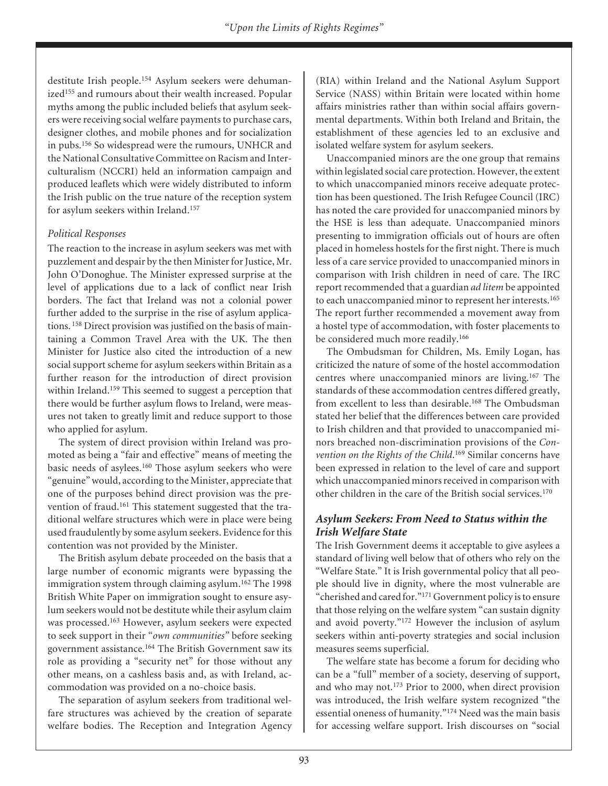destitute Irish people.154 Asylum seekers were dehumanized<sup>155</sup> and rumours about their wealth increased. Popular myths among the public included beliefs that asylum seekers were receiving social welfare payments to purchase cars, designer clothes, and mobile phones and for socialization in pubs.156 So widespread were the rumours, UNHCR and the National Consultative Committee on Racism and Interculturalism (NCCRI) held an information campaign and produced leaflets which were widely distributed to inform the Irish public on the true nature of the reception system for asylum seekers within Ireland.157

#### *Political Responses*

The reaction to the increase in asylum seekers was met with puzzlement and despair by the then Minister for Justice, Mr. John O'Donoghue. The Minister expressed surprise at the level of applications due to a lack of conflict near Irish borders. The fact that Ireland was not a colonial power further added to the surprise in the rise of asylum applications. <sup>158</sup> Direct provision was justified on the basis of maintaining a Common Travel Area with the UK. The then Minister for Justice also cited the introduction of a new social support scheme for asylum seekers within Britain as a further reason for the introduction of direct provision within Ireland.159 This seemed to suggest a perception that there would be further asylum flows to Ireland, were measures not taken to greatly limit and reduce support to those who applied for asylum.

The system of direct provision within Ireland was promoted as being a "fair and effective" means of meeting the basic needs of asylees.160 Those asylum seekers who were "genuine" would, according to the Minister, appreciate that one of the purposes behind direct provision was the prevention of fraud.161 This statement suggested that the traditional welfare structures which were in place were being used fraudulently by some asylum seekers. Evidence for this contention was not provided by the Minister.

The British asylum debate proceeded on the basis that a large number of economic migrants were bypassing the immigration system through claiming asylum.<sup>162</sup> The 1998 British White Paper on immigration sought to ensure asylum seekers would not be destitute while their asylum claim was processed.163 However, asylum seekers were expected to seek support in their "*own communities"* before seeking government assistance.164 The British Government saw its role as providing a "security net" for those without any other means, on a cashless basis and, as with Ireland, accommodation was provided on a no-choice basis.

The separation of asylum seekers from traditional welfare structures was achieved by the creation of separate welfare bodies. The Reception and Integration Agency (RIA) within Ireland and the National Asylum Support Service (NASS) within Britain were located within home affairs ministries rather than within social affairs governmental departments. Within both Ireland and Britain, the establishment of these agencies led to an exclusive and isolated welfare system for asylum seekers.

Unaccompanied minors are the one group that remains within legislated social care protection. However, the extent to which unaccompanied minors receive adequate protection has been questioned. The Irish Refugee Council (IRC) has noted the care provided for unaccompanied minors by the HSE is less than adequate. Unaccompanied minors presenting to immigration officials out of hours are often placed in homeless hostels for the first night. There is much less of a care service provided to unaccompanied minors in comparison with Irish children in need of care. The IRC report recommended that a guardian *ad litem* be appointed to each unaccompanied minor to represent her interests.<sup>165</sup> The report further recommended a movement away from a hostel type of accommodation, with foster placements to be considered much more readily.<sup>166</sup>

The Ombudsman for Children, Ms. Emily Logan, has criticized the nature of some of the hostel accommodation centres where unaccompanied minors are living.<sup>167</sup> The standards of these accommodation centres differed greatly, from excellent to less than desirable.168 The Ombudsman stated her belief that the differences between care provided to Irish children and that provided to unaccompanied minors breached non-discrimination provisions of the *Convention on the Rights of the Child*. <sup>169</sup> Similar concerns have been expressed in relation to the level of care and support which unaccompanied minors received in comparison with other children in the care of the British social services.170

### *Asylum Seekers: From Need to Status within the Irish Welfare State*

The Irish Government deems it acceptable to give asylees a standard of living well below that of others who rely on the "Welfare State." It is Irish governmental policy that all people should live in dignity, where the most vulnerable are "cherished and cared for."171 Government policy is to ensure that those relying on the welfare system "can sustain dignity and avoid poverty."172 However the inclusion of asylum seekers within anti-poverty strategies and social inclusion measures seems superficial.

The welfare state has become a forum for deciding who can be a "full" member of a society, deserving of support, and who may not.173 Prior to 2000, when direct provision was introduced, the Irish welfare system recognized "the essential oneness of humanity."174 Need was the main basis for accessing welfare support. Irish discourses on "social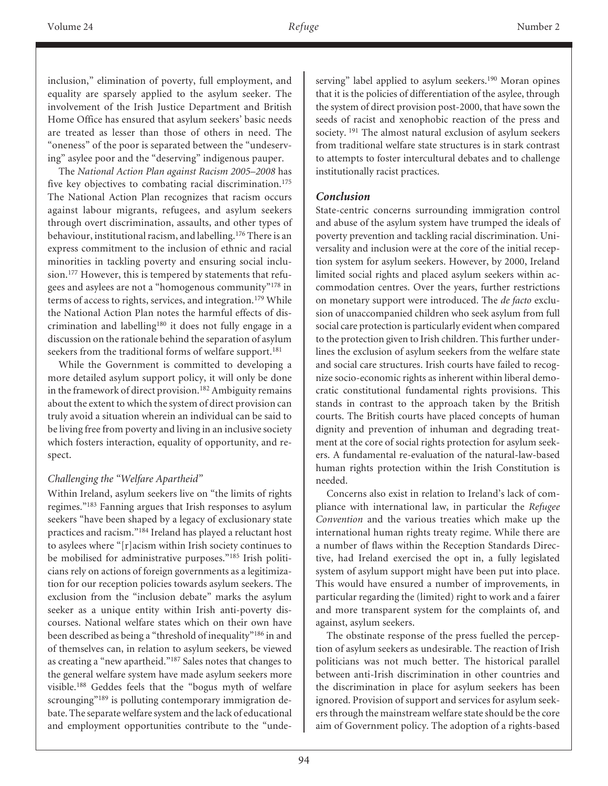inclusion," elimination of poverty, full employment, and equality are sparsely applied to the asylum seeker. The involvement of the Irish Justice Department and British Home Office has ensured that asylum seekers' basic needs are treated as lesser than those of others in need. The "oneness" of the poor is separated between the "undeserving" asylee poor and the "deserving" indigenous pauper.

The *National Action Plan against Racism 2005–2008* has five key objectives to combating racial discrimination.<sup>175</sup> The National Action Plan recognizes that racism occurs against labour migrants, refugees, and asylum seekers through overt discrimination, assaults, and other types of behaviour, institutional racism, and labelling.176 There is an express commitment to the inclusion of ethnic and racial minorities in tackling poverty and ensuring social inclusion.177 However, this is tempered by statements that refugees and asylees are not a "homogenous community"178 in terms of access to rights, services, and integration.<sup>179</sup> While the National Action Plan notes the harmful effects of discrimination and labelling<sup>180</sup> it does not fully engage in a discussion on the rationale behind the separation of asylum seekers from the traditional forms of welfare support.<sup>181</sup>

While the Government is committed to developing a more detailed asylum support policy, it will only be done in the framework of direct provision.<sup>182</sup> Ambiguity remains about the extent to which the system of direct provision can truly avoid a situation wherein an individual can be said to be living free from poverty and living in an inclusive society which fosters interaction, equality of opportunity, and respect.

## *Challenging the "Welfare Apartheid"*

Within Ireland, asylum seekers live on "the limits of rights regimes."183 Fanning argues that Irish responses to asylum seekers "have been shaped by a legacy of exclusionary state practices and racism."184 Ireland has played a reluctant host to asylees where "[r]acism within Irish society continues to be mobilised for administrative purposes."<sup>185</sup> Irish politicians rely on actions of foreign governments as a legitimization for our reception policies towards asylum seekers. The exclusion from the "inclusion debate" marks the asylum seeker as a unique entity within Irish anti-poverty discourses. National welfare states which on their own have been described as being a "threshold of inequality"186 in and of themselves can, in relation to asylum seekers, be viewed as creating a "new apartheid."187 Sales notes that changes to the general welfare system have made asylum seekers more visible.188 Geddes feels that the "bogus myth of welfare scrounging"<sup>189</sup> is polluting contemporary immigration debate. The separate welfare system and the lack of educational and employment opportunities contribute to the "unde-

serving" label applied to asylum seekers.<sup>190</sup> Moran opines that it is the policies of differentiation of the asylee, through the system of direct provision post-2000, that have sown the seeds of racist and xenophobic reaction of the press and society. <sup>191</sup> The almost natural exclusion of asylum seekers from traditional welfare state structures is in stark contrast to attempts to foster intercultural debates and to challenge institutionally racist practices.

## *Conclusion*

State-centric concerns surrounding immigration control and abuse of the asylum system have trumped the ideals of poverty prevention and tackling racial discrimination. Universality and inclusion were at the core of the initial reception system for asylum seekers. However, by 2000, Ireland limited social rights and placed asylum seekers within accommodation centres. Over the years, further restrictions on monetary support were introduced. The *de facto* exclusion of unaccompanied children who seek asylum from full social care protection is particularly evident when compared to the protection given to Irish children. This further underlines the exclusion of asylum seekers from the welfare state and social care structures. Irish courts have failed to recognize socio-economic rights as inherent within liberal democratic constitutional fundamental rights provisions. This stands in contrast to the approach taken by the British courts. The British courts have placed concepts of human dignity and prevention of inhuman and degrading treatment at the core of social rights protection for asylum seekers. A fundamental re-evaluation of the natural-law-based human rights protection within the Irish Constitution is needed.

Concerns also exist in relation to Ireland's lack of compliance with international law, in particular the *Refugee Convention* and the various treaties which make up the international human rights treaty regime. While there are a number of flaws within the Reception Standards Directive, had Ireland exercised the opt in, a fully legislated system of asylum support might have been put into place. This would have ensured a number of improvements, in particular regarding the (limited) right to work and a fairer and more transparent system for the complaints of, and against, asylum seekers.

The obstinate response of the press fuelled the perception of asylum seekers as undesirable. The reaction of Irish politicians was not much better. The historical parallel between anti-Irish discrimination in other countries and the discrimination in place for asylum seekers has been ignored. Provision of support and services for asylum seekers through the mainstream welfare state should be the core aim of Government policy. The adoption of a rights-based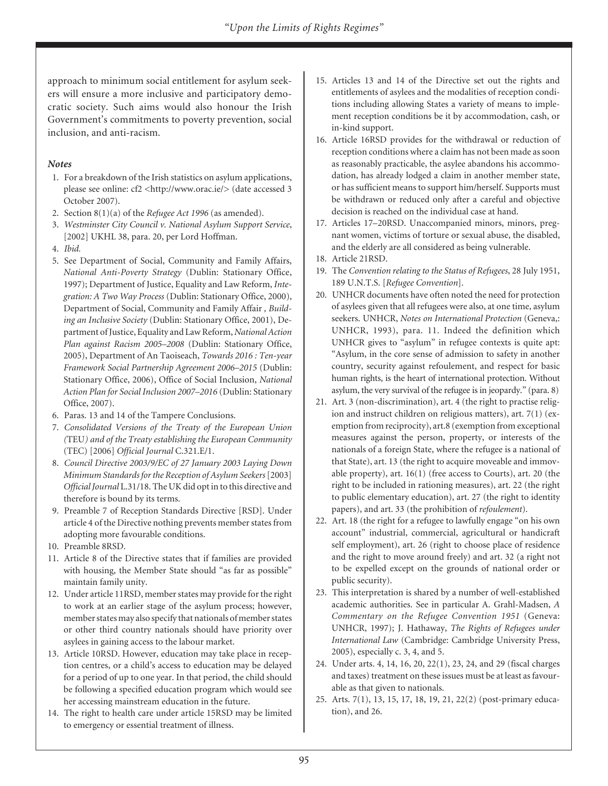approach to minimum social entitlement for asylum seekers will ensure a more inclusive and participatory democratic society. Such aims would also honour the Irish Government's commitments to poverty prevention, social inclusion, and anti-racism.

#### *Notes*

- 1. For a breakdown of the Irish statistics on asylum applications, please see online: cf2 <http://www.orac.ie/> (date accessed 3 October 2007).
- 2. Section 8(1)(a) of the *Refugee Act 1996* (as amended).
- 3. *Westminster City Council v. National Asylum Support Service*, [2002] UKHL 38, para. 20, per Lord Hoffman.
- 4. *Ibid.*
- 5. See Department of Social, Community and Family Affairs, *National Anti-Poverty Strategy* (Dublin: Stationary Office, 1997); Department of Justice, Equality and Law Reform, *Integration: A Two Way Process* (Dublin: Stationary Office, 2000), Department of Social, Community and Family Affair *, Building an Inclusive Society* (Dublin: Stationary Office, 2001), Department of Justice, Equality and Law Reform, *National Action Plan against Racism 2005–2008* (Dublin: Stationary Office, 2005), Department of An Taoiseach, *Towards 2016 : Ten-year Framework Social Partnership Agreement 2006–2015* (Dublin: Stationary Office, 2006), Office of Social Inclusion, *National Action Plan for Social Inclusion 2007–2016* (Dublin: Stationary Office, 2007).
- 6. Paras. 13 and 14 of the Tampere Conclusions.
- 7. *Consolidated Versions of the Treaty of the European Union (*TEU*) and of the Treaty establishing the European Community* (TEC) [2006] *Official Journal* C.321.E/1.
- 8. *Council Directive 2003/9/EC of 27 January 2003 Laying Down Minimum Standards for the Reception of Asylum Seekers*[2003] *Official Journal* L.31/18. The UK did opt in to this directive and therefore is bound by its terms.
- 9. Preamble 7 of Reception Standards Directive [RSD]. Under article 4 of the Directive nothing prevents member states from adopting more favourable conditions.
- 10. Preamble 8RSD.
- 11. Article 8 of the Directive states that if families are provided with housing, the Member State should "as far as possible" maintain family unity.
- 12. Under article 11RSD, member states may provide for the right to work at an earlier stage of the asylum process; however, member states may also specify that nationals of member states or other third country nationals should have priority over asylees in gaining access to the labour market.
- 13. Article 10RSD. However, education may take place in reception centres, or a child's access to education may be delayed for a period of up to one year. In that period, the child should be following a specified education program which would see her accessing mainstream education in the future.
- 14. The right to health care under article 15RSD may be limited to emergency or essential treatment of illness.
- 15. Articles 13 and 14 of the Directive set out the rights and entitlements of asylees and the modalities of reception conditions including allowing States a variety of means to implement reception conditions be it by accommodation, cash, or in-kind support.
- 16. Article 16RSD provides for the withdrawal or reduction of reception conditions where a claim has not been made as soon as reasonably practicable, the asylee abandons his accommodation, has already lodged a claim in another member state, or has sufficient means to support him/herself. Supports must be withdrawn or reduced only after a careful and objective decision is reached on the individual case at hand.
- 17. Articles 17–20RSD. Unaccompanied minors, minors, pregnant women, victims of torture or sexual abuse, the disabled, and the elderly are all considered as being vulnerable.
- 18. Article 21RSD.
- 19. The *Convention relating to the Status of Refugees*, 28 July 1951, 189 U.N.T.S. [*Refugee Convention*].
- 20. UNHCR documents have often noted the need for protection of asylees given that all refugees were also, at one time, asylum seekers. UNHCR, *Notes on International Protection* (Geneva,: UNHCR, 1993), para. 11. Indeed the definition which UNHCR gives to "asylum" in refugee contexts is quite apt: "Asylum, in the core sense of admission to safety in another country, security against refoulement, and respect for basic human rights, is the heart of international protection. Without asylum, the very survival of the refugee is in jeopardy." (para. 8)
- 21. Art. 3 (non-discrimination), art. 4 (the right to practise religion and instruct children on religious matters), art. 7(1) (exemption from reciprocity), art.8 (exemption from exceptional measures against the person, property, or interests of the nationals of a foreign State, where the refugee is a national of that State), art. 13 (the right to acquire moveable and immovable property), art. 16(1) (free access to Courts), art. 20 (the right to be included in rationing measures), art. 22 (the right to public elementary education), art. 27 (the right to identity papers), and art. 33 (the prohibition of *refoulement*).
- 22. Art. 18 (the right for a refugee to lawfully engage "on his own account" industrial, commercial, agricultural or handicraft self employment), art. 26 (right to choose place of residence and the right to move around freely) and art. 32 (a right not to be expelled except on the grounds of national order or public security).
- 23. This interpretation is shared by a number of well-established academic authorities. See in particular A. Grahl-Madsen, *A Commentary on the Refugee Convention 1951* (Geneva: UNHCR, 1997); J. Hathaway, *The Rights of Refugees under International Law* (Cambridge: Cambridge University Press, 2005), especially c. 3, 4, and 5.
- 24. Under arts. 4, 14, 16, 20, 22(1), 23, 24, and 29 (fiscal charges and taxes) treatment on these issues must be at least as favourable as that given to nationals.
- 25. Arts. 7(1), 13, 15, 17, 18, 19, 21, 22(2) (post-primary education), and 26.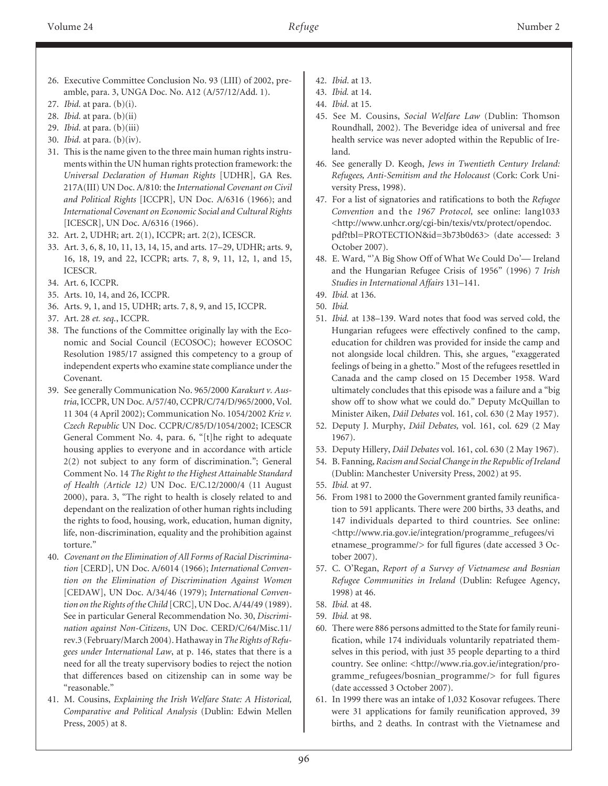- 26. Executive Committee Conclusion No. 93 (LIII) of 2002, preamble, para. 3, UNGA Doc. No. A12 (A/57/12/Add. 1).
- 27. *Ibid.* at para. (b)(i).
- 28. *Ibid.* at para. (b)(ii)
- 29. *Ibid.* at para. (b)(iii)
- 30. *Ibid.* at para. (b)(iv).
- 31. This is the name given to the three main human rights instruments within the UN human rights protection framework: the *Universal Declaration of Human Rights* [UDHR], GA Res. 217A(III) UN Doc. A/810: the *International Covenant on Civil and Political Rights* [ICCPR], UN Doc. A/6316 (1966); and *International Covenant on Economic Social and Cultural Rights* [ICESCR], UN Doc. A/6316 (1966).
- 32. Art. 2, UDHR; art. 2(1), ICCPR; art. 2(2), ICESCR.
- 33. Art. 3, 6, 8, 10, 11, 13, 14, 15, and arts. 17–29, UDHR; arts. 9, 16, 18, 19, and 22, ICCPR; arts. 7, 8, 9, 11, 12, 1, and 15, ICESCR.
- 34. Art. 6, ICCPR.
- 35. Arts. 10, 14, and 26, ICCPR.
- 36. Arts. 9, 1, and 15, UDHR; arts. 7, 8, 9, and 15, ICCPR.
- 37. Art. 28 *et. seq.*, ICCPR.
- 38. The functions of the Committee originally lay with the Economic and Social Council (ECOSOC); however ECOSOC Resolution 1985/17 assigned this competency to a group of independent experts who examine state compliance under the Covenant.
- 39. See generally Communication No. 965/2000 *Karakurt v. Austria*, ICCPR, UN Doc. A/57/40, CCPR/C/74/D/965/2000, Vol. 11 304 (4 April 2002); Communication No. 1054/2002 *Kriz v. Czech Republic* UN Doc. CCPR/C/85/D/1054/2002; ICESCR General Comment No. 4, para. 6, "[t]he right to adequate housing applies to everyone and in accordance with article 2(2) not subject to any form of discrimination."; General Comment No. 14 *The Right to the Highest Attainable Standard of Health (Article 12)* UN Doc. E/C.12/2000/4 (11 August 2000), para. 3, "The right to health is closely related to and dependant on the realization of other human rights including the rights to food, housing, work, education, human dignity, life, non-discrimination, equality and the prohibition against torture."
- 40. *Covenant on the Elimination of All Forms of Racial Discrimination* [CERD], UN Doc. A/6014 (1966); *International Convention on the Elimination of Discrimination Against Women* [CEDAW], UN Doc. A/34/46 (1979); *International Convention on the Rights of the Child* [CRC], UN Doc. A/44/49 (1989). See in particular General Recommendation No. 30, *Discrimination against Non-Citizens*, UN Doc. CERD/C/64/Misc.11/ rev.3 (February/March 2004). Hathaway in *The Rights of Refugees under International Law*, at p. 146, states that there is a need for all the treaty supervisory bodies to reject the notion that differences based on citizenship can in some way be "reasonable."
- 41. M. Cousins, *Explaining the Irish Welfare State: A Historical, Comparative and Political Analysis* (Dublin: Edwin Mellen Press, 2005) at 8.
- 42. *Ibid*. at 13.
- 43. *Ibid.* at 14.
- 44. *Ibid*. at 15.
- 45. See M. Cousins, *Social Welfare Law* (Dublin: Thomson Roundhall, 2002). The Beveridge idea of universal and free health service was never adopted within the Republic of Ireland.
- 46. See generally D. Keogh, *Jews in Twentieth Century Ireland: Refugees, Anti-Semitism and the Holocaust* (Cork: Cork University Press, 1998).
- 47. For a list of signatories and ratifications to both the *Refugee Convention* and the *1967 Protocol,* see online: lang1033 <http://www.unhcr.org/cgi-bin/texis/vtx/protect/opendoc. pdf?tbl=PROTECTION&id=3b73b0d63> (date accessed: 3 October 2007).
- 48. E. Ward, "'A Big Show Off of What We Could Do'— Ireland and the Hungarian Refugee Crisis of 1956" (1996) 7 *Irish Studies in International Affairs* 131–141.
- 49. *Ibid.* at 136.
- 50. *Ibid.*
- 51. *Ibid.* at 138–139. Ward notes that food was served cold, the Hungarian refugees were effectively confined to the camp, education for children was provided for inside the camp and not alongside local children. This, she argues, "exaggerated feelings of being in a ghetto." Most of the refugees resettled in Canada and the camp closed on 15 December 1958. Ward ultimately concludes that this episode was a failure and a "big show off to show what we could do." Deputy McQuillan to Minister Aiken, *Dáil Debates* vol. 161, col. 630 (2 May 1957).
- 52. Deputy J. Murphy, *Dáil Debates,* vol. 161, col. 629 (2 May 1967).
- 53. Deputy Hillery, *Dáil Debates* vol. 161, col. 630 (2 May 1967).
- 54. B. Fanning, *Racism and Social Change in the Republic of Ireland* (Dublin: Manchester University Press, 2002) at 95.
- 55. *Ibid.* at 97.
- 56. From 1981 to 2000 the Government granted family reunification to 591 applicants. There were 200 births, 33 deaths, and 147 individuals departed to third countries. See online: <http://www.ria.gov.ie/integration/programme\_refugees/vi etnamese\_programme/> for full figures (date accessed 3 October 2007).
- 57. C. O'Regan, *Report of a Survey of Vietnamese and Bosnian Refugee Communities in Ireland* (Dublin: Refugee Agency, 1998) at 46.
- 58. *Ibid.* at 48.
- 59. *Ibid.* at 98.
- 60. There were 886 persons admitted to the State for family reunification, while 174 individuals voluntarily repatriated themselves in this period, with just 35 people departing to a third country. See online: <http://www.ria.gov.ie/integration/programme\_refugees/bosnian\_programme/> for full figures (date accesssed 3 October 2007).
- 61. In 1999 there was an intake of 1,032 Kosovar refugees. There were 31 applications for family reunification approved, 39 births, and 2 deaths. In contrast with the Vietnamese and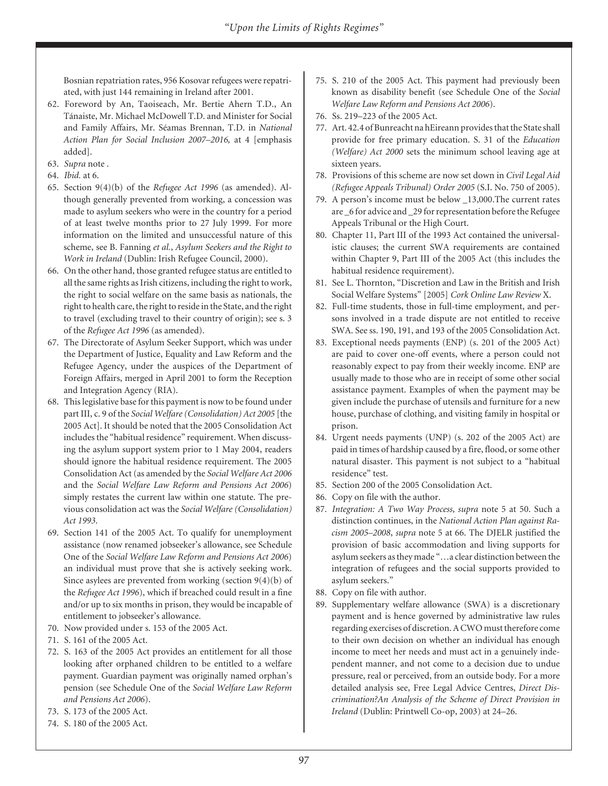Bosnian repatriation rates, 956 Kosovar refugees were repatriated, with just 144 remaining in Ireland after 2001.

- 62. Foreword by An, Taoiseach, Mr. Bertie Ahern T.D., An Tánaiste, Mr. Michael McDowell T.D. and Minister for Social and Family Affairs, Mr. Séamas Brennan, T.D. in *National Action Plan for Social Inclusion 2007–2016,* at 4 [emphasis added].
- 63. *Supra* note .
- 64. *Ibid.* at 6.
- 65. Section 9(4)(b) of the *Refugee Act 1996* (as amended). Although generally prevented from working, a concession was made to asylum seekers who were in the country for a period of at least twelve months prior to 27 July 1999. For more information on the limited and unsuccessful nature of this scheme, see B. Fanning *et al.*, *Asylum Seekers and the Right to Work in Ireland* (Dublin: Irish Refugee Council, 2000).
- 66. On the other hand, those granted refugee status are entitled to all the same rights as Irish citizens, including the right to work, the right to social welfare on the same basis as nationals, the right to health care, the right to reside in the State, and the right to travel (excluding travel to their country of origin); see s. 3 of the *Refugee Act 1996* (as amended).
- 67. The Directorate of Asylum Seeker Support, which was under the Department of Justice, Equality and Law Reform and the Refugee Agency, under the auspices of the Department of Foreign Affairs, merged in April 2001 to form the Reception and Integration Agency (RIA).
- 68. This legislative base for this payment is now to be found under part III, c. 9 of the *Social Welfare (Consolidation) Act 2005* [the 2005 Act]. It should be noted that the 2005 Consolidation Act includes the "habitual residence" requirement. When discussing the asylum support system prior to 1 May 2004, readers should ignore the habitual residence requirement. The 2005 Consolidation Act (as amended by the *Social Welfare Act 2006* and the *Social Welfare Law Reform and Pensions Act 2006*) simply restates the current law within one statute. The previous consolidation act was the *Social Welfare (Consolidation) Act 1993*.
- 69. Section 141 of the 2005 Act. To qualify for unemployment assistance (now renamed jobseeker's allowance, see Schedule One of the *Social Welfare Law Reform and Pensions Act 2006*) an individual must prove that she is actively seeking work. Since asylees are prevented from working (section 9(4)(b) of the *Refugee Act 1996*), which if breached could result in a fine and/or up to six months in prison, they would be incapable of entitlement to jobseeker's allowance.
- 70. Now provided under s. 153 of the 2005 Act.
- 71. S. 161 of the 2005 Act.
- 72. S. 163 of the 2005 Act provides an entitlement for all those looking after orphaned children to be entitled to a welfare payment. Guardian payment was originally named orphan's pension (see Schedule One of the *Social Welfare Law Reform and Pensions Act 2006*).
- 73. S. 173 of the 2005 Act.
- 74. S. 180 of the 2005 Act.
- 75. S. 210 of the 2005 Act. This payment had previously been known as disability benefit (see Schedule One of the *Social Welfare Law Reform and Pensions Act 2006*).
- 76. Ss. 219–223 of the 2005 Act.
- 77. Art. 42.4 of Bunreacht na hEireann provides that the State shall provide for free primary education. S. 31 of the *Education (Welfare) Act 2000* sets the minimum school leaving age at sixteen years.
- 78. Provisions of this scheme are now set down in *Civil Legal Aid (Refugee Appeals Tribunal) Order 2005* (S.I. No. 750 of 2005).
- 79. A person's income must be below \_13,000.The current rates are \_6 for advice and \_29 for representation before the Refugee Appeals Tribunal or the High Court.
- 80. Chapter 11, Part III of the 1993 Act contained the universalistic clauses; the current SWA requirements are contained within Chapter 9, Part III of the 2005 Act (this includes the habitual residence requirement).
- 81. See L. Thornton, "Discretion and Law in the British and Irish Social Welfare Systems" [2005] *Cork Online Law Review* X.
- 82. Full-time students, those in full-time employment, and persons involved in a trade dispute are not entitled to receive SWA. See ss. 190, 191, and 193 of the 2005 Consolidation Act.
- 83. Exceptional needs payments (ENP) (s. 201 of the 2005 Act) are paid to cover one-off events, where a person could not reasonably expect to pay from their weekly income. ENP are usually made to those who are in receipt of some other social assistance payment. Examples of when the payment may be given include the purchase of utensils and furniture for a new house, purchase of clothing, and visiting family in hospital or prison.
- 84. Urgent needs payments (UNP) (s. 202 of the 2005 Act) are paid in times of hardship caused by a fire, flood, or some other natural disaster. This payment is not subject to a "habitual residence" test.
- 85. Section 200 of the 2005 Consolidation Act.
- 86. Copy on file with the author.
- 87. *Integration: A Two Way Process*, *supra* note 5 at 50. Such a distinction continues, in the *National Action Plan against Racism 2005–2008*, *supra* note 5 at 66. The DJELR justified the provision of basic accommodation and living supports for asylum seekers as they made "…a clear distinction between the integration of refugees and the social supports provided to asylum seekers."
- 88. Copy on file with author.
- 89. Supplementary welfare allowance (SWA) is a discretionary payment and is hence governed by administrative law rules regarding exercises of discretion. A CWO must therefore come to their own decision on whether an individual has enough income to meet her needs and must act in a genuinely independent manner, and not come to a decision due to undue pressure, real or perceived, from an outside body. For a more detailed analysis see, Free Legal Advice Centres, *Direct Discrimination?An Analysis of the Scheme of Direct Provision in Ireland* (Dublin: Printwell Co-op, 2003) at 24–26.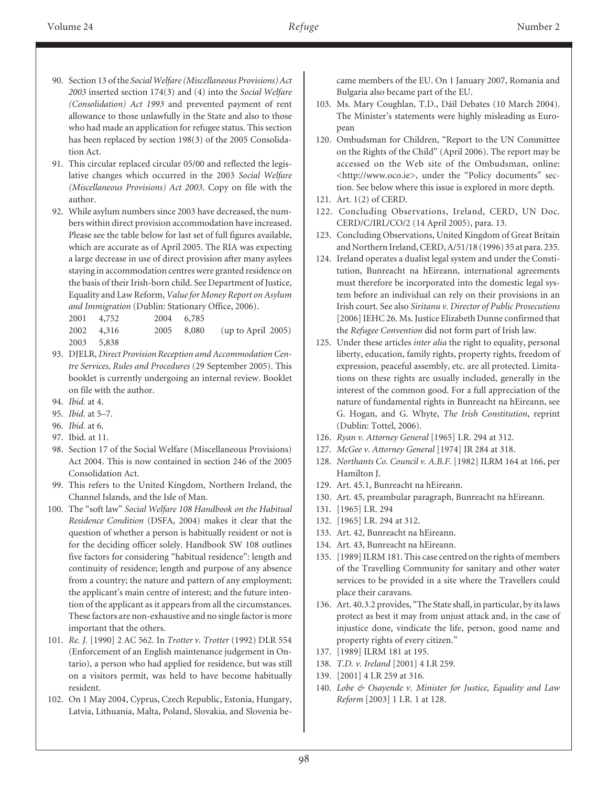- 90. Section 13 of the *Social Welfare (Miscellaneous Provisions) Act 2003* inserted section 174(3) and (4) into the *Social Welfare (Consolidation) Act 1993* and prevented payment of rent allowance to those unlawfully in the State and also to those who had made an application for refugee status. This section has been replaced by section 198(3) of the 2005 Consolidation Act.
- 91. This circular replaced circular 05/00 and reflected the legislative changes which occurred in the 2003 *Social Welfare (Miscellaneous Provisions) Act 2003*. Copy on file with the author.
- 92. While asylum numbers since 2003 have decreased, the numbers within direct provision accommodation have increased. Please see the table below for last set of full figures available, which are accurate as of April 2005. The RIA was expecting a large decrease in use of direct provision after many asylees staying in accommodation centres were granted residence on the basis of their Irish-born child. See Department of Justice, Equality and Law Reform, *Value for Money Report on Asylum and Immigration* (Dublin: Stationary Office, 2006).

2001 4,752 2004 6,785

2002 4,316 2005 8,080 (up to April 2005) 2003 5,838

- 93. DJELR, *Direct Provision Reception amd Accommodation Centre Services, Rules and Procedures* (29 September 2005). This booklet is currently undergoing an internal review. Booklet on file with the author.
- 94. *Ibid.* at 4.
- 95. *Ibid.* at 5–7.
- 96. *Ibid.* at 6.
- 97. Ibid. at 11.
- 98. Section 17 of the Social Welfare (Miscellaneous Provisions) Act 2004. This is now contained in section 246 of the 2005 Consolidation Act.
- 99. This refers to the United Kingdom, Northern Ireland, the Channel Islands, and the Isle of Man.
- 100. The "soft law" *Social Welfare 108 Handbook on the Habitual Residence Condition* (DSFA, 2004) makes it clear that the question of whether a person is habitually resident or not is for the deciding officer solely. Handbook SW 108 outlines five factors for considering "habitual residence": length and continuity of residence; length and purpose of any absence from a country; the nature and pattern of any employment; the applicant's main centre of interest; and the future intention of the applicant as it appears from all the circumstances. These factors are non-exhaustive and no single factor is more important that the others.
- 101. *Re. J.* [1990] 2 AC 562. In *Trotter v. Trotter* (1992) DLR 554 (Enforcement of an English maintenance judgement in Ontario), a person who had applied for residence, but was still on a visitors permit, was held to have become habitually resident.
- 102. On 1 May 2004, Cyprus, Czech Republic, Estonia, Hungary, Latvia, Lithuania, Malta, Poland, Slovakia, and Slovenia be-

came members of the EU. On 1 January 2007, Romania and Bulgaria also became part of the EU.

- 103. Ms. Mary Coughlan, T.D., Dáil Debates (10 March 2004). The Minister's statements were highly misleading as European
- 120. Ombudsman for Children, "Report to the UN Committee on the Rights of the Child" (April 2006). The report may be accessed on the Web site of the Ombudsman, online: <http://www.oco.ie>, under the "Policy documents" section. See below where this issue is explored in more depth.
- 121. Art. 1(2) of CERD.
- 122. Concluding Observations, Ireland, CERD, UN Doc. CERD/C/IRL/CO/2 (14 April 2005), para. 13.
- 123. Concluding Observations, United Kingdom of Great Britain and Northern Ireland, CERD, A/51/18 (1996) 35 at para. 235.
- 124. Ireland operates a dualist legal system and under the Constitution, Bunreacht na hEireann, international agreements must therefore be incorporated into the domestic legal system before an individual can rely on their provisions in an Irish court. See also *Siritanu v. Director of Public Prosecutions* [2006] IEHC 26. Ms. Justice Elizabeth Dunne confirmed that the *Refugee Convention* did not form part of Irish law.
- 125. Under these articles *inter alia* the right to equality, personal liberty, education, family rights, property rights, freedom of expression, peaceful assembly, etc. are all protected. Limitations on these rights are usually included, generally in the interest of the common good. For a full appreciation of the nature of fundamental rights in Bunreacht na hEireann, see G. Hogan, and G. Whyte, *The Irish Constitution*, reprint (Dublin: Tottel, 2006).
- 126. *Ryan v. Attorney General* [1965] I.R. 294 at 312.
- 127. *McGee v. Attorney General* [1974] IR 284 at 318.
- 128. *Northants Co. Council v. A.B.F.* [1982] ILRM 164 at 166, per Hamilton J.
- 129. Art. 45.1, Bunreacht na hEireann.
- 130. Art. 45, preambular paragraph, Bunreacht na hEireann.
- 131. [1965] I.R. 294
- 132. [1965] I.R. 294 at 312.
- 133. Art. 42, Bunreacht na hEireann.
- 134. Art. 43, Bunreacht na hEireann.
- 135. [1989] ILRM 181. This case centred on the rights of members of the Travelling Community for sanitary and other water services to be provided in a site where the Travellers could place their caravans.
- 136. Art. 40.3.2 provides, "The State shall, in particular, by its laws protect as best it may from unjust attack and, in the case of injustice done, vindicate the life, person, good name and property rights of every citizen."
- 137. [1989] ILRM 181 at 195.
- 138. *T.D. v. Ireland* [2001] 4 I.R 259.
- 139. [2001] 4 I.R 259 at 316.
- 140. *Lobe & Osayende v. Minister for Justice, Equality and Law Reform* [2003] 1 I.R. 1 at 128.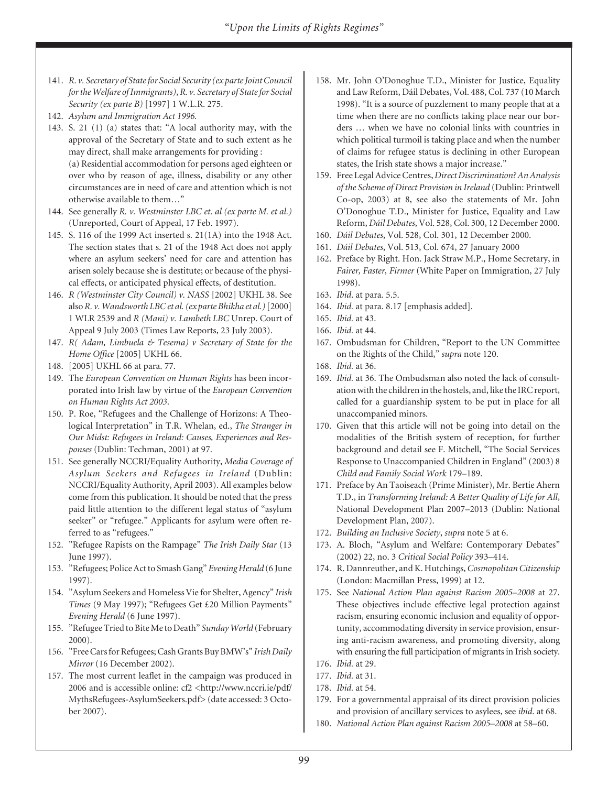- 141. *R. v. Secretary of State for Social Security (ex parte Joint Council for the Welfare of Immigrants)*,*R. v. Secretary of State for Social Security (ex parte B)* [1997] 1 W.L.R. 275.
- 142. *Asylum and Immigration Act 1996.*
- 143. S. 21 (1) (a) states that: "A local authority may, with the approval of the Secretary of State and to such extent as he may direct, shall make arrangements for providing : (a) Residential accommodation for persons aged eighteen or over who by reason of age, illness, disability or any other circumstances are in need of care and attention which is not otherwise available to them…"
- 144. See generally *R. v. Westminster LBC et. al (ex parte M. et al.)* (Unreported, Court of Appeal, 17 Feb. 1997).
- 145. S. 116 of the 1999 Act inserted s. 21(1A) into the 1948 Act. The section states that s. 21 of the 1948 Act does not apply where an asylum seekers' need for care and attention has arisen solely because she is destitute; or because of the physical effects, or anticipated physical effects, of destitution.
- 146. *R (Westminster City Council) v. NASS* [2002] UKHL 38. See also*R. v. Wandsworth LBC et al. (ex parte Bhikha et al.)*[2000] 1 WLR 2539 and *R (Mani) v. Lambeth LBC* Unrep. Court of Appeal 9 July 2003 (Times Law Reports, 23 July 2003).
- 147. *R( Adam, Limbuela & Tesema) v Secretary of State for the Home Office* [2005] UKHL 66.
- 148. [2005] UKHL 66 at para. 77.
- 149. The *European Convention on Human Rights* has been incorporated into Irish law by virtue of the *European Convention on Human Rights Act 2003*.
- 150. P. Roe, "Refugees and the Challenge of Horizons: A Theological Interpretation" in T.R. Whelan, ed., *The Stranger in Our Midst: Refugees in Ireland: Causes, Experiences and Responses* (Dublin: Techman, 2001) at 97.
- 151. See generally NCCRI/Equality Authority, *Media Coverage of Asylum Seekers and Refugees in Ireland* (Dublin: NCCRI/Equality Authority, April 2003). All examples below come from this publication. It should be noted that the press paid little attention to the different legal status of "asylum seeker" or "refugee." Applicants for asylum were often referred to as "refugees."
- 152. "Refugee Rapists on the Rampage" *The Irish Daily Star* (13 June 1997).
- 153. "Refugees; Police Act to Smash Gang" *Evening Herald* (6 June 1997).
- 154. "Asylum Seekers and Homeless Vie for Shelter, Agency" *Irish Times* (9 May 1997); "Refugees Get £20 Million Payments" *Evening Herald* (6 June 1997).
- 155. "Refugee Tried to Bite Me to Death" *Sunday World* (February 2000).
- 156. "Free Cars for Refugees; Cash Grants Buy BMW's" *Irish Daily Mirror* (16 December 2002).
- 157. The most current leaflet in the campaign was produced in 2006 and is accessible online: cf2 <http://www.nccri.ie/pdf/ MythsRefugees-AsylumSeekers.pdf> (date accessed: 3 October 2007).
- 158. Mr. John O'Donoghue T.D., Minister for Justice, Equality and Law Reform, Dáil Debates, Vol. 488, Col. 737 (10 March 1998). "It is a source of puzzlement to many people that at a time when there are no conflicts taking place near our borders … when we have no colonial links with countries in which political turmoil is taking place and when the number of claims for refugee status is declining in other European states, the Irish state shows a major increase."
- 159. Free Legal Advice Centres, *Direct Discrimination? An Analysis of the Scheme of Direct Provision in Ireland* (Dublin: Printwell Co-op, 2003) at 8, see also the statements of Mr. John O'Donoghue T.D., Minister for Justice, Equality and Law Reform, *Dáil Debates*, Vol. 528, Col. 300, 12 December 2000.
- 160. *Dáil Debates*, Vol. 528, Col. 301, 12 December 2000. 161. *Dáil Debates*, Vol. 513, Col. 674, 27 January 2000
- 162. Preface by Right. Hon. Jack Straw M.P., Home Secretary, in *Fairer, Faster, Firmer* (White Paper on Immigration, 27 July 1998).
- 163. *Ibid*. at para*.* 5.5.
- 164. *Ibid.* at para. 8.17 [emphasis added].
- 165. *Ibid.* at 43.
- 166. *Ibid.* at 44.
- 167. Ombudsman for Children, "Report to the UN Committee on the Rights of the Child," *supra* note 120.
- 168. *Ibid.* at 36.
- 169. *Ibid.* at 36. The Ombudsman also noted the lack of consultation with the children in the hostels, and, like the IRC report, called for a guardianship system to be put in place for all unaccompanied minors.
- 170. Given that this article will not be going into detail on the modalities of the British system of reception, for further background and detail see F. Mitchell, "The Social Services Response to Unaccompanied Children in England" (2003) 8 *Child and Family Social Work* 179–189.
- 171. Preface by An Taoiseach (Prime Minister), Mr. Bertie Ahern T.D., in *Transforming Ireland: A Better Quality of Life for All*, National Development Plan 2007–2013 (Dublin: National Development Plan, 2007).
- 172. *Building an Inclusive Society*, *supra* note 5 at 6.
- 173. A. Bloch, "Asylum and Welfare: Contemporary Debates" (2002) 22, no. 3 *Critical Social Policy* 393–414.
- 174. R. Dannreuther, and K. Hutchings,*Cosmopolitan Citizenship* (London: Macmillan Press, 1999) at 12.
- 175. See *National Action Plan against Racism 2005–2008* at 27. These objectives include effective legal protection against racism, ensuring economic inclusion and equality of opportunity, accommodating diversity in service provision, ensuring anti-racism awareness, and promoting diversity, along with ensuring the full participation of migrants in Irish society.
- 176. *Ibid.* at 29.
- 177. *Ibid.* at 31.
- 178. *Ibid.* at 54.
- 179. For a governmental appraisal of its direct provision policies and provision of ancillary services to asylees, see *ibid*. at 68.
- 180. *National Action Plan against Racism 2005–2008* at 58–60.